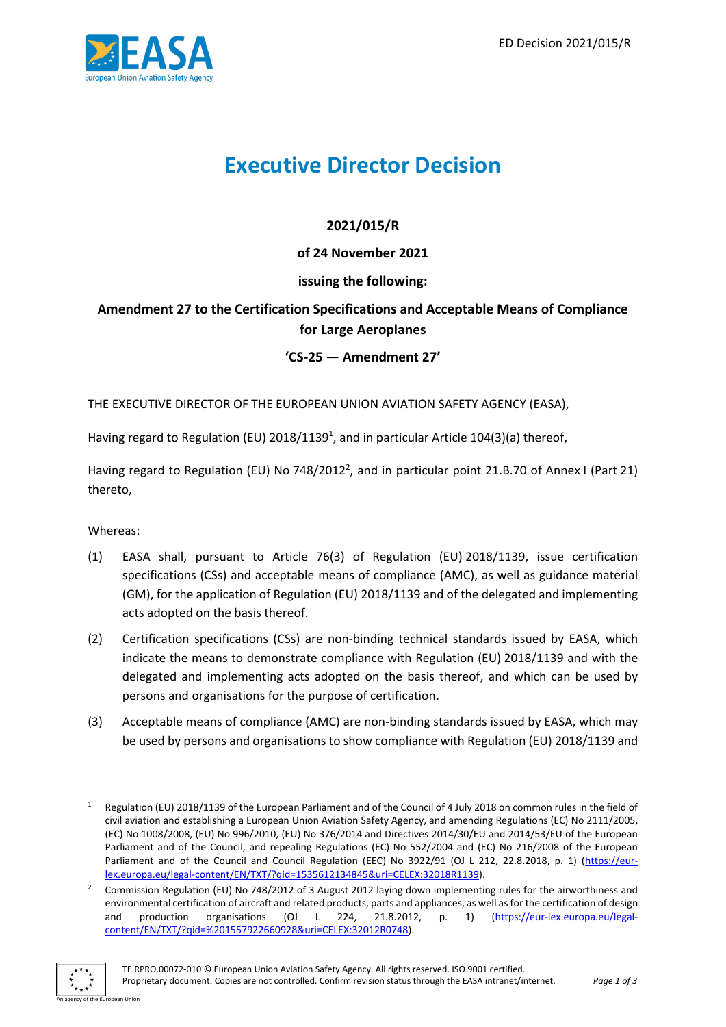

# **Executive Director Decision**

# **2021/015/R**

## **of 24 November 2021**

## **issuing the following:**

# **Amendment 27 to the Certification Specifications and Acceptable Means of Compliance for Large Aeroplanes**

### **'CS-25 — Amendment 27'**

THE EXECUTIVE DIRECTOR OF THE EUROPEAN UNION AVIATION SAFETY AGENCY (EASA),

Having regard to Regulation (EU) 2018/1139<sup>1</sup>, and in particular Article 104(3)(a) thereof,

Having regard to Regulation (EU) No 748/2012<sup>2</sup>, and in particular point 21.B.70 of Annex I (Part 21) thereto,

Whereas:

- (1) EASA shall, pursuant to Article 76(3) of Regulation (EU) 2018/1139, issue certification specifications (CSs) and acceptable means of compliance (AMC), as well as guidance material (GM), for the application of Regulation (EU) 2018/1139 and of the delegated and implementing acts adopted on the basis thereof.
- (2) Certification specifications (CSs) are non-binding technical standards issued by EASA, which indicate the means to demonstrate compliance with Regulation (EU) 2018/1139 and with the delegated and implementing acts adopted on the basis thereof, and which can be used by persons and organisations for the purpose of certification.
- (3) Acceptable means of compliance (AMC) are non-binding standards issued by EASA, which may be used by persons and organisations to show compliance with Regulation (EU) 2018/1139 and

<sup>&</sup>lt;sup>2</sup> Commission Regulation (EU) No 748/2012 of 3 August 2012 laying down implementing rules for the airworthiness and environmental certification of aircraft and related products, parts and appliances, as well as for the certification of design and production organisations (OJ L 224, 21.8.2012, p. 1) [\(https://eur-lex.europa.eu/legal](https://eur-lex.europa.eu/legal-content/EN/TXT/?qid=%201557922660928&uri=CELEX:32012R0748)[content/EN/TXT/?qid=%201557922660928&uri=CELEX:32012R0748\)](https://eur-lex.europa.eu/legal-content/EN/TXT/?qid=%201557922660928&uri=CELEX:32012R0748).



Regulation (EU) 2018/1139 of the European Parliament and of the Council of 4 July 2018 on common rules in the field of civil aviation and establishing a European Union Aviation Safety Agency, and amending Regulations (EC) No 2111/2005, (EC) No 1008/2008, (EU) No 996/2010, (EU) No 376/2014 and Directives 2014/30/EU and 2014/53/EU of the European Parliament and of the Council, and repealing Regulations (EC) No 552/2004 and (EC) No 216/2008 of the European Parliament and of the Council and Council Regulation (EEC) No 3922/91 (OJ L 212, 22.8.2018, p. 1) [\(https://eur](https://eur-lex.europa.eu/legal-content/EN/TXT/?qid=1535612134845&uri=CELEX:32018R1139)[lex.europa.eu/legal-content/EN/TXT/?qid=1535612134845&uri=CELEX:32018R1139\)](https://eur-lex.europa.eu/legal-content/EN/TXT/?qid=1535612134845&uri=CELEX:32018R1139).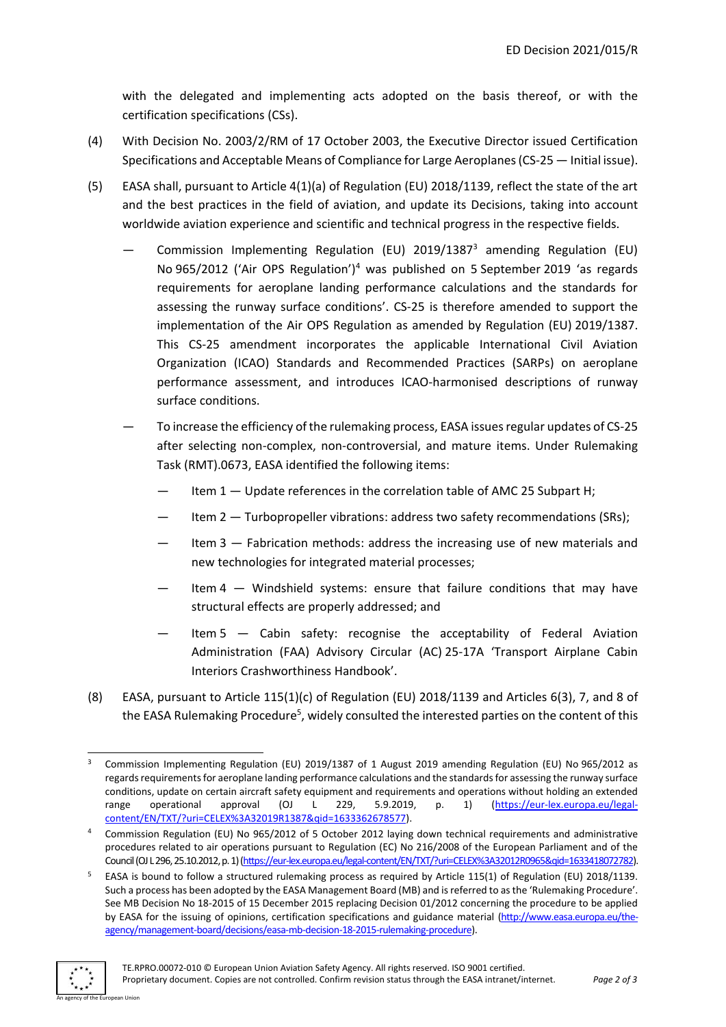with the delegated and implementing acts adopted on the basis thereof, or with the certification specifications (CSs).

- (4) With Decision No. 2003/2/RM of 17 October 2003, the Executive Director issued Certification Specifications and Acceptable Means of Compliance for Large Aeroplanes (CS-25 — Initial issue).
- (5) EASA shall, pursuant to Article 4(1)(a) of Regulation (EU) 2018/1139, reflect the state of the art and the best practices in the field of aviation, and update its Decisions, taking into account worldwide aviation experience and scientific and technical progress in the respective fields.
	- Commission Implementing Regulation (EU) 2019/1387<sup>3</sup> amending Regulation (EU) No 965/2012 ('Air OPS Regulation')<sup>4</sup> was published on 5 September 2019 'as regards requirements for aeroplane landing performance calculations and the standards for assessing the runway surface conditions'. CS-25 is therefore amended to support the implementation of the Air OPS Regulation as amended by Regulation (EU) 2019/1387. This CS-25 amendment incorporates the applicable International Civil Aviation Organization (ICAO) Standards and Recommended Practices (SARPs) on aeroplane performance assessment, and introduces ICAO-harmonised descriptions of runway surface conditions.
	- To increase the efficiency of the rulemaking process, EASA issues regular updates of CS-25 after selecting non-complex, non-controversial, and mature items. Under Rulemaking Task (RMT).0673, EASA identified the following items:
		- Item 1 Update references in the correlation table of AMC 25 Subpart H;
		- Item 2 Turbopropeller vibrations: address two safety recommendations (SRs);
		- Item  $3$   $-$  Fabrication methods: address the increasing use of new materials and new technologies for integrated material processes;
		- Item  $4 -$  Windshield systems: ensure that failure conditions that may have structural effects are properly addressed; and
		- Item  $5 -$  Cabin safety: recognise the acceptability of Federal Aviation Administration (FAA) Advisory Circular (AC) 25-17A 'Transport Airplane Cabin Interiors Crashworthiness Handbook'.
- (8) EASA, pursuant to Article 115(1)(c) of Regulation (EU) 2018/1139 and Articles 6(3), 7, and 8 of the EASA Rulemaking Procedure<sup>5</sup>, widely consulted the interested parties on the content of this

<sup>5</sup> EASA is bound to follow a structured rulemaking process as required by Article 115(1) of Regulation (EU) 2018/1139. Such a process has been adopted by the EASA Management Board (MB) and is referred to as the 'Rulemaking Procedure'. See MB Decision No 18-2015 of 15 December 2015 replacing Decision 01/2012 concerning the procedure to be applied by EASA for the issuing of opinions, certification specifications and guidance material [\(http://www.easa.europa.eu/the](http://www.easa.europa.eu/the-agency/management-board/decisions/easa-mb-decision-18-2015-rulemaking-procedure)[agency/management-board/decisions/easa-mb-decision-18-2015-rulemaking-procedure\)](http://www.easa.europa.eu/the-agency/management-board/decisions/easa-mb-decision-18-2015-rulemaking-procedure).



<sup>3</sup> Commission Implementing Regulation (EU) 2019/1387 of 1 August 2019 amending Regulation (EU) No 965/2012 as regards requirements for aeroplane landing performance calculations and the standards for assessing the runway surface conditions, update on certain aircraft safety equipment and requirements and operations without holding an extended range operational approval (OJ L 229, 5.9.2019, p. 1) [\(https://eur-lex.europa.eu/legal](https://eur-lex.europa.eu/legal-content/EN/TXT/?uri=CELEX%3A32019R1387&qid=1633362678577)[content/EN/TXT/?uri=CELEX%3A32019R1387&qid=1633362678577\)](https://eur-lex.europa.eu/legal-content/EN/TXT/?uri=CELEX%3A32019R1387&qid=1633362678577).

<sup>4</sup> Commission Regulation (EU) No 965/2012 of 5 October 2012 laying down technical requirements and administrative procedures related to air operations pursuant to Regulation (EC) No 216/2008 of the European Parliament and of the Council (OJ L 296, 25.10.2012, p. 1) [\(https://eur-lex.europa.eu/legal-content/EN/TXT/?uri=CELEX%3A32012R0965&qid=1633418072782\).](https://eur-lex.europa.eu/legal-content/EN/TXT/?uri=CELEX%3A32012R0965&qid=1633418072782)